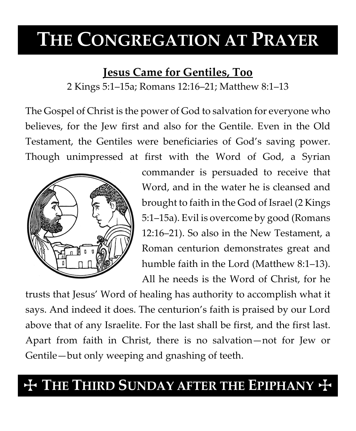# **THE CONGREGATION AT PRAYER**

### **Jesus Came for Gentiles, Too**

2 Kings 5:1–15a; Romans 12:16–21; Matthew 8:1–13

The Gospel of Christ is the power of God to salvation for everyone who believes, for the Jew first and also for the Gentile. Even in the Old Testament, the Gentiles were beneficiaries of God's saving power. Though unimpressed at first with the Word of God, a Syrian



commander is persuaded to receive that Word, and in the water he is cleansed and brought to faith in the God of Israel (2 Kings 5:1–15a). Evil is overcome by good (Romans 12:16–21). So also in the New Testament, a Roman centurion demonstrates great and humble faith in the Lord (Matthew 8:1–13). All he needs is the Word of Christ, for he

trusts that Jesus' Word of healing has authority to accomplish what it says. And indeed it does. The centurion's faith is praised by our Lord above that of any Israelite. For the last shall be first, and the first last. Apart from faith in Christ, there is no salvation—not for Jew or Gentile—but only weeping and gnashing of teeth.

## $+$  THE THIRD SUNDAY AFTER THE EPIPHANY  $+$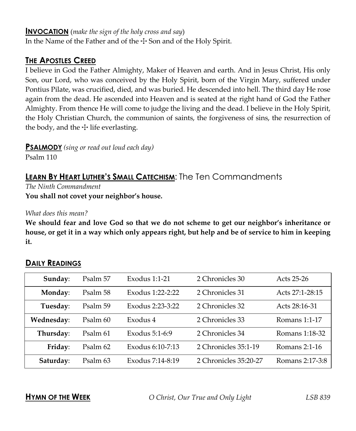#### **INVOCATION** (*make the sign of the holy cross and say*)

In the Name of the Father and of the  $\pm$  Son and of the Holy Spirit.

#### **THE APOSTLES CREED**

I believe in God the Father Almighty, Maker of Heaven and earth. And in Jesus Christ, His only Son, our Lord, who was conceived by the Holy Spirit, born of the Virgin Mary, suffered under Pontius Pilate, was crucified, died, and was buried. He descended into hell. The third day He rose again from the dead. He ascended into Heaven and is seated at the right hand of God the Father Almighty. From thence He will come to judge the living and the dead. I believe in the Holy Spirit, the Holy Christian Church, the communion of saints, the forgiveness of sins, the resurrection of the body, and the  $\pm$  life everlasting.

**PSALMODY** *(sing or read out loud each day)*

Psalm 110

### **LEARN BY HEART LUTHER'S SMALL CATECHISM:** The Ten Commandments

*The Ninth Commandment* **You shall not covet your neighbor's house.**

*What does this mean?*

**We should fear and love God so that we do not scheme to get our neighbor's inheritance or house, or get it in a way which only appears right, but help and be of service to him in keeping it.**

| Sunday:    | Psalm 57 | Exodus 1:1-21    | 2 Chronicles 30       | Acts 25-26      |
|------------|----------|------------------|-----------------------|-----------------|
| Monday:    | Psalm 58 | Exodus 1:22-2:22 | 2 Chronicles 31       | Acts 27:1-28:15 |
| Tuesday:   | Psalm 59 | Exodus 2:23-3:22 | 2 Chronicles 32       | Acts 28:16-31   |
| Wednesday: | Psalm 60 | Exodus 4         | 2 Chronicles 33       | Romans 1:1-17   |
| Thursday:  | Psalm 61 | Exodus 5:1-6:9   | 2 Chronicles 34       | Romans 1:18-32  |
| Friday:    | Psalm 62 | Exodus 6:10-7:13 | 2 Chronicles 35:1-19  | Romans 2:1-16   |
| Saturday:  | Psalm 63 | Exodus 7:14-8:19 | 2 Chronicles 35:20-27 | Romans 2:17-3:8 |

#### **DAILY READINGS**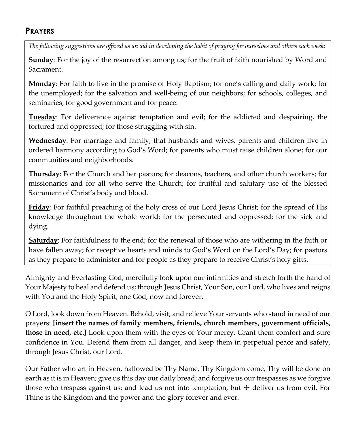#### **PRAYERS**

*The following suggestions are offered as an aid in developing the habit of praying for ourselves and others each week:*

**Sunday**: For the joy of the resurrection among us; for the fruit of faith nourished by Word and Sacrament.

**Monday**: For faith to live in the promise of Holy Baptism; for one's calling and daily work; for the unemployed; for the salvation and well-being of our neighbors; for schools, colleges, and seminaries; for good government and for peace.

**Tuesday**: For deliverance against temptation and evil; for the addicted and despairing, the tortured and oppressed; for those struggling with sin.

**Wednesday**: For marriage and family, that husbands and wives, parents and children live in ordered harmony according to God's Word; for parents who must raise children alone; for our communities and neighborhoods.

**Thursday**: For the Church and her pastors; for deacons, teachers, and other church workers; for missionaries and for all who serve the Church; for fruitful and salutary use of the blessed Sacrament of Christ's body and blood.

**Friday**: For faithful preaching of the holy cross of our Lord Jesus Christ; for the spread of His knowledge throughout the whole world; for the persecuted and oppressed; for the sick and dying.

**Saturday**: For faithfulness to the end; for the renewal of those who are withering in the faith or have fallen away; for receptive hearts and minds to God's Word on the Lord's Day; for pastors as they prepare to administer and for people as they prepare to receive Christ's holy gifts.

Almighty and Everlasting God, mercifully look upon our infirmities and stretch forth the hand of Your Majesty to heal and defend us; through Jesus Christ, Your Son, our Lord, who lives and reigns with You and the Holy Spirit, one God, now and forever.

O Lord, look down from Heaven. Behold, visit, and relieve Your servants who stand in need of our prayers: **[insert the names of family members, friends, church members, government officials, those in need, etc.]** Look upon them with the eyes of Your mercy. Grant them comfort and sure confidence in You. Defend them from all danger, and keep them in perpetual peace and safety, through Jesus Christ, our Lord.

Our Father who art in Heaven, hallowed be Thy Name, Thy Kingdom come, Thy will be done on earth as it is in Heaven; give us this day our daily bread; and forgive us our trespasses as we forgive those who trespass against us; and lead us not into temptation, but  $\pm$  deliver us from evil. For Thine is the Kingdom and the power and the glory forever and ever.